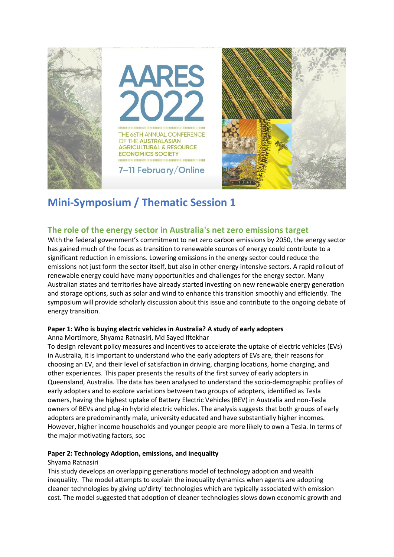

# **Mini-Symposium / Thematic Session 1**

# **The role of the energy sector in Australia's net zero emissions target**

With the federal government's commitment to net zero carbon emissions by 2050, the energy sector has gained much of the focus as transition to renewable sources of energy could contribute to a significant reduction in emissions. Lowering emissions in the energy sector could reduce the emissions not just form the sector itself, but also in other energy intensive sectors. A rapid rollout of renewable energy could have many opportunities and challenges for the energy sector. Many Australian states and territories have already started investing on new renewable energy generation and storage options, such as solar and wind to enhance this transition smoothly and efficiently. The symposium will provide scholarly discussion about this issue and contribute to the ongoing debate of energy transition.

#### **Paper 1: Who is buying electric vehicles in Australia? A study of early adopters**

Anna Mortimore, Shyama Ratnasiri, Md Sayed Iftekhar

To design relevant policy measures and incentives to accelerate the uptake of electric vehicles (EVs) in Australia, it is important to understand who the early adopters of EVs are, their reasons for choosing an EV, and their level of satisfaction in driving, charging locations, home charging, and other experiences. This paper presents the results of the first survey of early adopters in Queensland, Australia. The data has been analysed to understand the socio-demographic profiles of early adopters and to explore variations between two groups of adopters, identified as Tesla owners, having the highest uptake of Battery Electric Vehicles (BEV) in Australia and non-Tesla owners of BEVs and plug-in hybrid electric vehicles. The analysis suggests that both groups of early adopters are predominantly male, university educated and have substantially higher incomes. However, higher income households and younger people are more likely to own a Tesla. In terms of the major motivating factors, soc

## **Paper 2: Technology Adoption, emissions, and inequality**

#### Shyama Ratnasiri

This study develops an overlapping generations model of technology adoption and wealth inequality. The model attempts to explain the inequality dynamics when agents are adopting cleaner technologies by giving up'dirty' technologies which are typically associated with emission cost. The model suggested that adoption of cleaner technologies slows down economic growth and